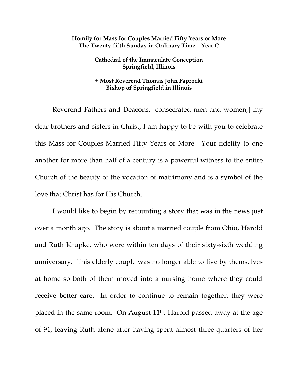## **Homily for Mass for Couples Married Fifty Years or More The Twenty-fifth Sunday in Ordinary Time – Year C**

**Cathedral of the Immaculate Conception Springfield, Illinois** 

## **+ Most Reverend Thomas John Paprocki Bishop of Springfield in Illinois**

Reverend Fathers and Deacons, [consecrated men and women,] my dear brothers and sisters in Christ, I am happy to be with you to celebrate this Mass for Couples Married Fifty Years or More. Your fidelity to one another for more than half of a century is a powerful witness to the entire Church of the beauty of the vocation of matrimony and is a symbol of the love that Christ has for His Church.

 I would like to begin by recounting a story that was in the news just over a month ago. The story is about a married couple from Ohio, Harold and Ruth Knapke, who were within ten days of their sixty-sixth wedding anniversary. This elderly couple was no longer able to live by themselves at home so both of them moved into a nursing home where they could receive better care. In order to continue to remain together, they were placed in the same room. On August 11th, Harold passed away at the age of 91, leaving Ruth alone after having spent almost three-quarters of her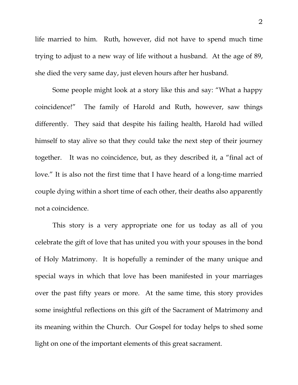life married to him. Ruth, however, did not have to spend much time trying to adjust to a new way of life without a husband. At the age of 89, she died the very same day, just eleven hours after her husband.

 Some people might look at a story like this and say: "What a happy coincidence!" The family of Harold and Ruth, however, saw things differently. They said that despite his failing health, Harold had willed himself to stay alive so that they could take the next step of their journey together. It was no coincidence, but, as they described it, a "final act of love." It is also not the first time that I have heard of a long-time married couple dying within a short time of each other, their deaths also apparently not a coincidence.

 This story is a very appropriate one for us today as all of you celebrate the gift of love that has united you with your spouses in the bond of Holy Matrimony. It is hopefully a reminder of the many unique and special ways in which that love has been manifested in your marriages over the past fifty years or more. At the same time, this story provides some insightful reflections on this gift of the Sacrament of Matrimony and its meaning within the Church. Our Gospel for today helps to shed some light on one of the important elements of this great sacrament.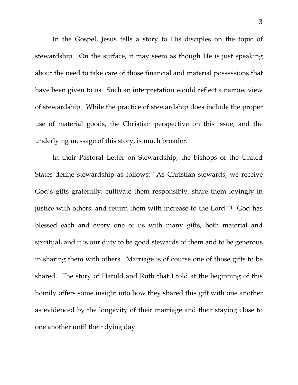In the Gospel, Jesus tells a story to His disciples on the topic of stewardship. On the surface, it may seem as though He is just speaking about the need to take care of those financial and material possessions that have been given to us. Such an interpretation would reflect a narrow view of stewardship. While the practice of stewardship does include the proper use of material goods, the Christian perspective on this issue, and the underlying message of this story, is much broader.

In their Pastoral Letter on Stewardship, the bishops of the United States define stewardship as follows: "As Christian stewards, we receive God's gifts gratefully, cultivate them responsibly, share them lovingly in justice with others, and return them with increase to the Lord."1 God has blessed each and every one of us with many gifts, both material and spiritual, and it is our duty to be good stewards of them and to be generous in sharing them with others. Marriage is of course one of those gifts to be shared. The story of Harold and Ruth that I told at the beginning of this homily offers some insight into how they shared this gift with one another as evidenced by the longevity of their marriage and their staying close to one another until their dying day.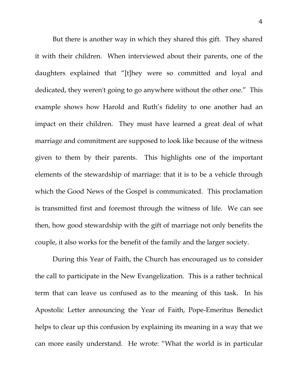But there is another way in which they shared this gift. They shared it with their children. When interviewed about their parents, one of the daughters explained that "[t]hey were so committed and loyal and dedicated, they weren't going to go anywhere without the other one." This example shows how Harold and Ruth's fidelity to one another had an impact on their children. They must have learned a great deal of what marriage and commitment are supposed to look like because of the witness given to them by their parents. This highlights one of the important elements of the stewardship of marriage: that it is to be a vehicle through which the Good News of the Gospel is communicated. This proclamation is transmitted first and foremost through the witness of life. We can see then, how good stewardship with the gift of marriage not only benefits the couple, it also works for the benefit of the family and the larger society.

 During this Year of Faith, the Church has encouraged us to consider the call to participate in the New Evangelization. This is a rather technical term that can leave us confused as to the meaning of this task. In his Apostolic Letter announcing the Year of Faith, Pope-Emeritus Benedict helps to clear up this confusion by explaining its meaning in a way that we can more easily understand. He wrote: "What the world is in particular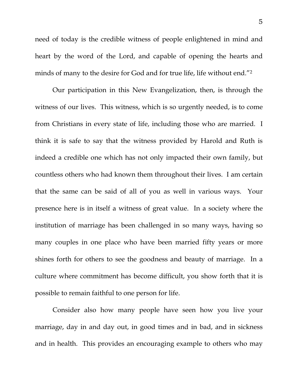need of today is the credible witness of people enlightened in mind and heart by the word of the Lord, and capable of opening the hearts and minds of many to the desire for God and for true life, life without end."<sup>2</sup>

Our participation in this New Evangelization, then, is through the witness of our lives. This witness, which is so urgently needed, is to come from Christians in every state of life, including those who are married. I think it is safe to say that the witness provided by Harold and Ruth is indeed a credible one which has not only impacted their own family, but countless others who had known them throughout their lives. I am certain that the same can be said of all of you as well in various ways. Your presence here is in itself a witness of great value. In a society where the institution of marriage has been challenged in so many ways, having so many couples in one place who have been married fifty years or more shines forth for others to see the goodness and beauty of marriage. In a culture where commitment has become difficult, you show forth that it is possible to remain faithful to one person for life.

Consider also how many people have seen how you live your marriage, day in and day out, in good times and in bad, and in sickness and in health. This provides an encouraging example to others who may